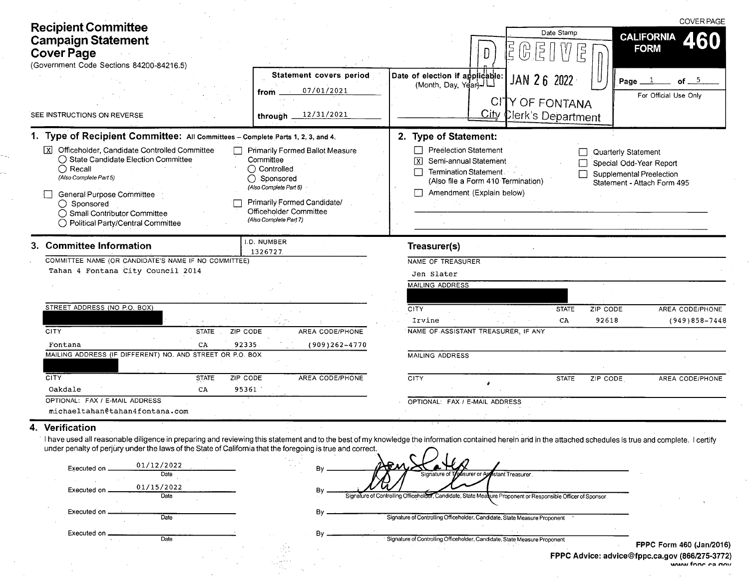|                                                                                                                                                                                                                                                                  |                                                                                                                                                                                                          | <b>COVER PAGE</b>                                                                                                                                                                                                                                                                                                                                                                       |
|------------------------------------------------------------------------------------------------------------------------------------------------------------------------------------------------------------------------------------------------------------------|----------------------------------------------------------------------------------------------------------------------------------------------------------------------------------------------------------|-----------------------------------------------------------------------------------------------------------------------------------------------------------------------------------------------------------------------------------------------------------------------------------------------------------------------------------------------------------------------------------------|
| <b>Recipient Committee</b><br><b>Campaign Statement</b><br><b>Cover Page</b><br>(Government Code Sections 84200-84216.5)                                                                                                                                         |                                                                                                                                                                                                          | Date Stamp<br><b>CALIFORNIA</b><br>60<br><b>FORM</b><br>lŋ                                                                                                                                                                                                                                                                                                                              |
| SEE INSTRUCTIONS ON REVERSE                                                                                                                                                                                                                                      | Statement covers period<br>07/01/2021<br>from<br>12/31/2021<br>through                                                                                                                                   | Date of election if applicable:<br>(Month, Day, Year)<br>JAN 26<br>2022<br>of $5$<br>Page.<br>For Official Use Only<br>CITY OF FONTANA<br>City Clerk's Department                                                                                                                                                                                                                       |
| 1. Type of Recipient Committee: All Committees - Complete Parts 1, 2, 3, and 4.                                                                                                                                                                                  |                                                                                                                                                                                                          | 2. Type of Statement:                                                                                                                                                                                                                                                                                                                                                                   |
| Officeholder, Candidate Controlled Committee<br>◯ State Candidate Election Committee<br>$\bigcirc$ Recall<br>(Also Complete Part 5)<br>General Purpose Committee<br>$\bigcirc$ Sponsored<br>◯ Small Contributor Committee<br>◯ Political Party/Central Committee | <b>Primarily Formed Ballot Measure</b><br>Committee<br>$\bigcirc$ Controlled<br>○ Sponsored<br>(Also Complete Part 6)<br>Primarily Formed Candidate/<br>Officeholder Committee<br>(Also Complete Part 7) | <b>Preelection Statement</b><br>Quarterly Statement<br>Semi-annual Statement<br>$\mathbf{x}$<br>Special Odd-Year Report<br>Termination Statement<br>Supplemental Preelection<br>(Also file a Form 410 Termination)<br>Statement - Attach Form 495<br>Amendment (Explain below)                                                                                                          |
| <b>Committee Information</b>                                                                                                                                                                                                                                     | I.D. NUMBER<br>1326727                                                                                                                                                                                   | Treasurer(s)                                                                                                                                                                                                                                                                                                                                                                            |
| COMMITTEE NAME (OR CANDIDATE'S NAME IF NO COMMITTEE)<br>Tahan 4 Fontana City Council 2014                                                                                                                                                                        |                                                                                                                                                                                                          | <b>NAME OF TREASURER</b><br>Jen Slater<br><b>MAILING ADDRESS</b>                                                                                                                                                                                                                                                                                                                        |
| STREET ADDRESS (NO P.O. BOX)                                                                                                                                                                                                                                     |                                                                                                                                                                                                          | CITY<br>ZIP CODE<br>AREA CODE/PHONE<br><b>STATE</b>                                                                                                                                                                                                                                                                                                                                     |
| <b>CITY</b><br><b>STATE</b><br>ZIP CODE                                                                                                                                                                                                                          | AREA CODE/PHONE                                                                                                                                                                                          | 92618<br>$(949)858 - 7448$<br>Irvine<br>CA<br>NAME OF ASSISTANT TREASURER, IF ANY                                                                                                                                                                                                                                                                                                       |
| 92335<br>Fontana<br>CA                                                                                                                                                                                                                                           | $(909)262 - 4770$                                                                                                                                                                                        |                                                                                                                                                                                                                                                                                                                                                                                         |
| MAILING ADDRESS (IF DIFFERENT) NO. AND STREET OR P.O. BOX                                                                                                                                                                                                        |                                                                                                                                                                                                          | <b>MAILING ADDRESS</b>                                                                                                                                                                                                                                                                                                                                                                  |
| <b>CITY</b><br><b>STATE</b><br>ZIP CODE<br>Oakdale<br>95361<br>CA                                                                                                                                                                                                | AREA CODE/PHONE                                                                                                                                                                                          | <b>CITY</b><br>ZIP CODE<br>AREA CODE/PHONE<br><b>STATE</b>                                                                                                                                                                                                                                                                                                                              |
| OPTIONAL: FAX / E-MAIL ADDRESS<br>michaeltahan@tahan4fontana.com                                                                                                                                                                                                 |                                                                                                                                                                                                          | OPTIONAL: FAX / E-MAIL ADDRESS                                                                                                                                                                                                                                                                                                                                                          |
| Verification<br>under penalty of perjury under the laws of the State of California that the foregoing is true and correct.<br>01/12/2022<br>Executed on .<br>Date<br>01/15/2022<br>Executed on<br>Date<br>Executed on .                                          | By                                                                                                                                                                                                       | I have used all reasonable diligence in preparing and reviewing this statement and to the best of my knowledge the information contained herein and in the attached schedules is true and complete. I certify<br>Signature of Treasurer or As<br><b>Astant Treasurer</b><br>Signature of Controlling Officeholder, Candidate, State Measure Proponent or Responsible Officer of Sponsor |
| Date                                                                                                                                                                                                                                                             | By.                                                                                                                                                                                                      | Signature of Controlling Officeholder, Candidate, State Measure Proponent                                                                                                                                                                                                                                                                                                               |

By

 $\alpha$ 

Executed on \_ **Date**  $\overline{\mathcal{N}(\mathcal{A})}$ 

Signature of Controlling Officeholder, Candidate, State Measure Proponent

FPPC Form 460 (Jan/2016) Advice: advice@fppc.ca.gov (866/275-3772)<br>FPPC Advice: advice@fppc.ca.gov (866/275-3772)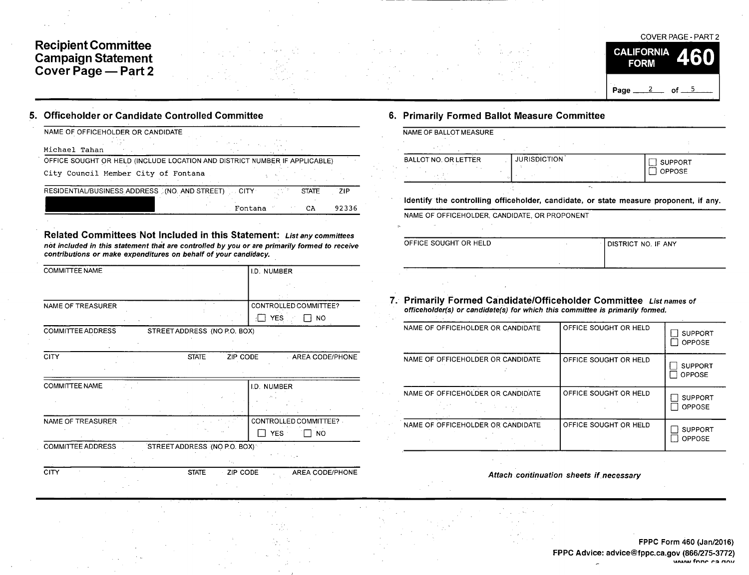## Recipient Committee Campaign Statement Cover Page — Part 2



## 5. Officeholder or Candidate Controlled Committee 6. Primarily Formed Ballot Measure Committee

| NAME OF OFFICEHOLDER OR CANDIDATE                                          |                   |              |       | NAME OF BALLOT MEASURE      |
|----------------------------------------------------------------------------|-------------------|--------------|-------|-----------------------------|
| Michael Tahan                                                              | <b>CONTRACTOR</b> |              |       |                             |
| OFFICE SOUGHT OR HELD (INCLUDE LOCATION AND DISTRICT NUMBER IF APPLICABLE) |                   |              |       | <b>BALLOT NO. OR LETTER</b> |
| City Council Member City of Fontana                                        |                   |              |       |                             |
| RESIDENTIAL/BUSINESS ADDRESS (NO. AND STREET) CITY                         | u koʻbi           | <b>STATE</b> | ZIP   | .                           |
|                                                                            | Fontana           | CA           | 92336 | Identify the controlling    |
|                                                                            |                   |              |       | NAME OF OFFICEHOLDER.       |

Related Committees Not Included in this Statement: List any committees not included in this statement that are controlled by you or are primarily formed to receive contributions or make expenditures on behalf of your candidacy.

| <b>COMMITTEE NAME</b>    | I.D. NUMBER                                 |
|--------------------------|---------------------------------------------|
|                          |                                             |
|                          |                                             |
| <b>NAME OF TREASURER</b> | CONTROLLED COMMITTEE?                       |
|                          | YES.<br>T NO                                |
| <b>COMMITTEE ADDRESS</b> | STREET ADDRESS (NO P.O. BOX)                |
|                          |                                             |
| <b>CITY</b>              | <b>STATE</b><br>ZIP CODE<br>AREA CODE/PHONE |
|                          |                                             |
| <b>COMMITTEE NAME</b>    | I.D. NUMBER                                 |
|                          |                                             |
|                          |                                             |
| NAME OF TREASURER        | CONTROLLED COMMITTEE?                       |
|                          | YES :<br><b>NO</b>                          |
| <b>COMMITTEE ADDRESS</b> | STREET ADDRESS (NO P.O. BOX)                |
|                          | $\alpha = 1, \ldots, 4$                     |
| CITY                     | <b>STATE</b><br>ZIP CODE<br>AREA CODE/PHONE |

| NAME OF BALLOT MEASURE      |                     |                             |                |
|-----------------------------|---------------------|-----------------------------|----------------|
|                             |                     |                             |                |
| <b>BALLOT NO. OR LETTER</b> | <b>JURISDICTION</b> |                             | <b>SUPPORT</b> |
|                             |                     |                             | <b>OPPOSE</b>  |
| the state of the            |                     | $\mathcal{P}_{\mathcal{A}}$ |                |

### Identify the controlling officeholder, candidate, or state measure proponent, if any.

| . |  |  |  |  |
|---|--|--|--|--|
|   |  |  |  |  |

OFFICE SOUGHT OR HELD

|  | <b>I DISTRICT NO. IF ANY</b> |
|--|------------------------------|
|  |                              |
|  |                              |

### 7. Primarily Formed Candidate/Officeholder Committee List names of officeholder(s) or candidate(s) for which this committee is primarily formed.

| NAME OF OFFICEHOLDER OR CANDIDATE | OFFICE SOUGHT OR HELD | <b>SUPPORT</b><br><b>OPPOSE</b> |
|-----------------------------------|-----------------------|---------------------------------|
| NAME OF OFFICEHOLDER OR CANDIDATE | OFFICE SOUGHT OR HELD | <b>SUPPORT</b><br><b>OPPOSE</b> |
| NAME OF OFFICEHOLDER OR CANDIDATE | OFFICE SOUGHT OR HELD | <b>SUPPORT</b><br>OPPOSE        |
| NAME OF OFFICEHOLDER OR CANDIDATE | OFFICE SOUGHT OR HELD | <b>SUPPORT</b><br>OPPOSE        |

Attach continuation sheets if. necessary

FPPC Form 460 (Jan/2016) FPPC Advice: advice@fppc.ca.gov (866/275-3772) unana fnnn ra nov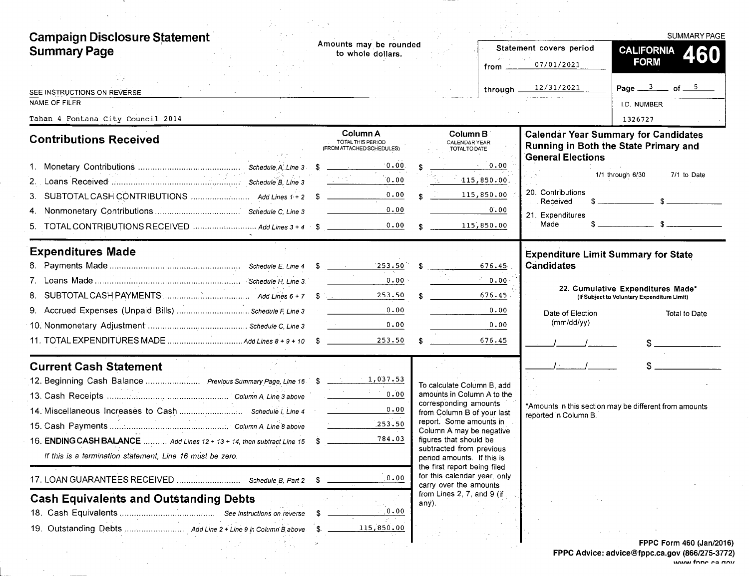| <b>Campaign Disclosure Statement</b><br><b>Summary Page</b>            | Amounts may be rounded<br>to whole dollars.                                                               |                                                                                        | Statement covers period                        | SUMMARY PAGE<br><b>CALIFORNIA</b><br>460<br><b>FORM</b>                              |
|------------------------------------------------------------------------|-----------------------------------------------------------------------------------------------------------|----------------------------------------------------------------------------------------|------------------------------------------------|--------------------------------------------------------------------------------------|
|                                                                        |                                                                                                           |                                                                                        | 07/01/2021<br>from                             |                                                                                      |
| SEE INSTRUCTIONS ON REVERSE                                            |                                                                                                           |                                                                                        | 12/31/2021<br>through $\overline{\phantom{a}}$ | Page $3$ of $5$                                                                      |
| NAME OF FILER                                                          |                                                                                                           |                                                                                        |                                                | I.D. NUMBER                                                                          |
| Tahan 4 Fontana City Council 2014                                      |                                                                                                           |                                                                                        |                                                | 1326727                                                                              |
| <b>Contributions Received</b>                                          | Column A<br>TOTAL THIS PERIOD<br>(FROM ATTACHED SCHEDULES)                                                | Column B<br><b>CALENDAR YEAR</b><br>TOTAL TO DATE                                      | <b>General Elections</b>                       | <b>Calendar Year Summary for Candidates</b><br>Running in Both the State Primary and |
|                                                                        | 0.00                                                                                                      | $\sim 0.00$                                                                            |                                                |                                                                                      |
| 2.                                                                     | 0.00                                                                                                      | $-115,850.00$                                                                          |                                                | 1/1 through 6/30<br>7/1 to Date                                                      |
|                                                                        | 0.00                                                                                                      | 115,850.00                                                                             | 20. Contributions<br>Received                  | $s$ $s$                                                                              |
|                                                                        | 0.00                                                                                                      |                                                                                        | 0.00<br>21. Expenditures                       |                                                                                      |
|                                                                        | 0.00                                                                                                      | 115,850.00                                                                             | Made                                           | $s$ $s$                                                                              |
| <b>Expenditures Made</b>                                               |                                                                                                           |                                                                                        | <b>Expenditure Limit Summary for State</b>     |                                                                                      |
|                                                                        |                                                                                                           | 676.45                                                                                 | <b>Candidates</b>                              |                                                                                      |
|                                                                        | 0.00<br>$\mathcal{L}(\mathcal{L})$ and $\mathcal{L}(\mathcal{L})$ . The set of $\mathcal{L}(\mathcal{L})$ |                                                                                        | 0.00                                           |                                                                                      |
|                                                                        | 253.50                                                                                                    | 676.45<br><b>Carlos Committee</b>                                                      |                                                | 22. Cumulative Expenditures Made*<br>(If Subject to Voluntary Expenditure Limit)     |
|                                                                        | 0.00                                                                                                      |                                                                                        | 0.00<br>Date of Election                       | Total to Date                                                                        |
|                                                                        | 0.00                                                                                                      |                                                                                        | (mm/dd/yy)<br>0.00                             |                                                                                      |
|                                                                        | 253.50                                                                                                    | 676.45                                                                                 |                                                |                                                                                      |
| <b>Current Cash Statement</b>                                          |                                                                                                           |                                                                                        |                                                |                                                                                      |
|                                                                        |                                                                                                           | To calculate Column B, add                                                             |                                                |                                                                                      |
|                                                                        | 0.00                                                                                                      | amounts in Column A to the                                                             |                                                |                                                                                      |
|                                                                        | 0.00                                                                                                      | corresponding amounts<br>from Column B of your last                                    | reported in Column B.                          | *Amounts in this section may be different from amounts                               |
|                                                                        | 253.50                                                                                                    | report. Some amounts in<br>Column A may be negative                                    |                                                |                                                                                      |
| 16. ENDING CASH BALANCE  Add Lines 12 + 13 + 14, then subtract Line 15 | 784.03                                                                                                    | figures that should be                                                                 |                                                |                                                                                      |
| If this is a termination statement. Line 16 must be zero.              |                                                                                                           | subtracted from previous<br>period amounts. If this is                                 |                                                |                                                                                      |
|                                                                        | 0.00                                                                                                      | the first report being filed<br>for this calendar year, only<br>carry over the amounts |                                                |                                                                                      |
| <b>Cash Equivalents and Outstanding Debts</b>                          |                                                                                                           | from Lines 2, 7, and 9 (if<br>any).                                                    |                                                |                                                                                      |
|                                                                        | 0.00                                                                                                      |                                                                                        |                                                |                                                                                      |
|                                                                        | 115,850.00                                                                                                |                                                                                        |                                                |                                                                                      |
|                                                                        |                                                                                                           |                                                                                        |                                                | FPPC Form 460 (Jan/2016                                                              |
|                                                                        |                                                                                                           |                                                                                        |                                                | FPPC Advice: advice@fppc.ca.gov (866/275-3772                                        |

 $\sim 10^{11}$  km

 $\sim 10$ 

FPPC Form 460 (Jan/2016) FPPC Advice: advice@fppc.ca.gov (866/275-3772) MAMA, fnnn ra nnv

 $\sim$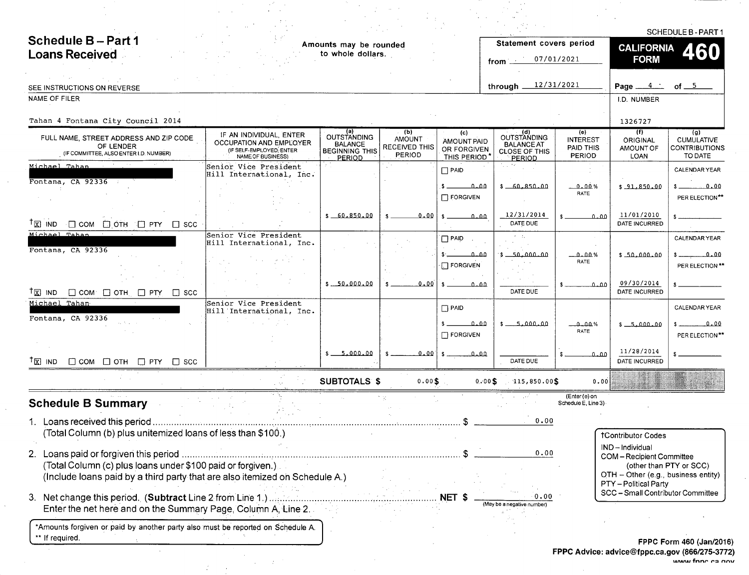|                                                                                                 |                                                                                                            |                                                                                |                                                 |                                                  |                                                                           |                                                      |                                                              | <b>SCHEDULE B - PART 1</b>                                  |
|-------------------------------------------------------------------------------------------------|------------------------------------------------------------------------------------------------------------|--------------------------------------------------------------------------------|-------------------------------------------------|--------------------------------------------------|---------------------------------------------------------------------------|------------------------------------------------------|--------------------------------------------------------------|-------------------------------------------------------------|
| Schedule B-Part 1                                                                               |                                                                                                            | Amounts may be rounded                                                         |                                                 |                                                  | Statement covers period                                                   |                                                      | <b>CALIFORNIA</b>                                            |                                                             |
| <b>Loans Received</b>                                                                           |                                                                                                            | to whole dollars.                                                              |                                                 |                                                  | from $\equiv$                                                             | 07/01/2021                                           | <b>FORM</b>                                                  |                                                             |
|                                                                                                 |                                                                                                            |                                                                                |                                                 |                                                  |                                                                           |                                                      |                                                              |                                                             |
| SEE INSTRUCTIONS ON REVERSE                                                                     |                                                                                                            |                                                                                |                                                 |                                                  | through $12/31/2021$                                                      |                                                      | Page $4$ $-$                                                 | of $5$                                                      |
| NAME OF FILER                                                                                   |                                                                                                            |                                                                                |                                                 |                                                  |                                                                           |                                                      | I.D. NUMBER                                                  |                                                             |
| Tahan 4 Fontana City Council 2014                                                               |                                                                                                            |                                                                                |                                                 |                                                  |                                                                           |                                                      | 1326727                                                      |                                                             |
| FULL NAME, STREET ADDRESS AND ZIP CODE<br>OF LENDER<br>(IF COMMITTEE, ALSO ENTER I.D. NUMBER)   | IF AN INDIVIDUAL, ENTER<br><b>OCCUPATION AND EMPLOYER</b><br>(IF SELF-EMPLOYED, ENTER<br>NAME OF BUSINESS) | <b>OUTSTANDING</b><br><b>BALANCE</b><br><b>BEGINNING THIS</b><br><u>PERIOD</u> | (Ъ)<br><b>AMOUNT</b><br>RECEIVED THIS<br>PERIOD | (c)<br>AMOUNT PAID<br>OR FORGIVEN<br>THIS PERIOD | (d)<br>OUTSTANDING<br><b>BALANCE AT</b><br><b>CLOSE OF THIS</b><br>PERIOD | (e)<br><b>INTEREST</b><br>PAID THIS<br><b>PERIOD</b> | (1)<br>ORIGINAL<br>AMOUNT OF<br><b>LOAN</b>                  | (g)<br><b>CUMULATIVE</b><br><b>CONTRIBUTIONS</b><br>TO DATE |
| Michael Tahan                                                                                   | Senior Vice President<br>Hill International, Inc.                                                          |                                                                                |                                                 | $\Box$ PAID                                      | ta a Mer                                                                  |                                                      |                                                              | <b>CALENDAR YEAR</b>                                        |
| Fontana, CA 92336                                                                               |                                                                                                            |                                                                                |                                                 | $.5 - 0.00$<br>$\Box$ FORGIVEN                   | $$ -60.850.00$                                                            | 0.00%<br>RATE                                        | $$ -91.850.00$                                               | \$ 0.00<br>PER ELECTION**                                   |
| $^{\dagger}$ $\boxtimes$ $\blacksquare$ ND $\Box$ COM $\Box$ OTH $\Box$ PTY $\Box$ SCC          |                                                                                                            | \$60.850.00                                                                    | 0.00                                            | $s = 0.00$                                       | 12/31/2014<br>DATE DUE                                                    | 0.00                                                 | 11/01/2010<br><b>DATE INCURRED</b>                           |                                                             |
| Michael Tahan<br>Fontana, CA 92336                                                              | Senior Vice President<br>Hill International, Inc.                                                          |                                                                                |                                                 | $\Box$ PAID                                      | $\tau=11$                                                                 |                                                      |                                                              | <b>CALENDAR YEAR</b>                                        |
|                                                                                                 |                                                                                                            |                                                                                |                                                 | مملم<br>$\Box$ FORGIVEN                          | $$ -50.000.00$                                                            | 0.00%<br>RATE                                        | \$50.000.00                                                  | $$$ $0.00$<br>PER ELECTION **                               |
| <sup>†</sup> 区 IND □ COM □ OTH □ PTY □ SCC                                                      |                                                                                                            | $$ -50,000,00$                                                                 | 0.00                                            | $\mathbf{s}$<br>0.00                             | DATE DUE                                                                  | ممنم                                                 | 09/30/2014<br>DATE INCURRED                                  |                                                             |
| Michael Tahan<br>Fontana, CA 92336                                                              | Senior Vice President<br>Hill International, Inc.                                                          |                                                                                |                                                 | $\Box$ PAID                                      |                                                                           |                                                      |                                                              | CALENDAR YEAR                                               |
|                                                                                                 |                                                                                                            |                                                                                |                                                 | \$ 0.00<br><b>FORGIVEN</b>                       | $$-.5.000.00$                                                             | $-0.00%$<br>RATE                                     | $$ -5.000.00$                                                | $$$ 0.00<br>PER ELECTION**                                  |
| $\Box$ COM $\Box$ OTH $\Box$ PTY $\Box$ SCC<br>$\mathsf{T} \boxtimes \mathsf{IND}$              |                                                                                                            | $$ -5,000.00$                                                                  | $0.00^{\circ}$                                  | $s \sim 0.00$                                    | DATE DUE                                                                  | 0.00                                                 | 11/28/2014<br>DATE INCURRED                                  |                                                             |
|                                                                                                 |                                                                                                            | <b>SUBTOTALS \$</b>                                                            | 0.00\$                                          |                                                  | $0.00$ \$ 115,850.00\$                                                    | 0.00                                                 |                                                              |                                                             |
| <b>Schedule B Summary</b>                                                                       |                                                                                                            |                                                                                |                                                 |                                                  |                                                                           | (Enter (e) on<br>Schedule E, Line 3)                 |                                                              |                                                             |
| Loans received this period                                                                      |                                                                                                            |                                                                                |                                                 |                                                  | 0.00                                                                      |                                                      |                                                              |                                                             |
| (Total Column (b) plus unitemized loans of less than \$100.)                                    |                                                                                                            |                                                                                |                                                 |                                                  |                                                                           |                                                      | <b>†Contributor Codes</b>                                    |                                                             |
| (Total Column (c) plus loans under \$100 paid or forgiven.).                                    |                                                                                                            |                                                                                |                                                 |                                                  | 0.00                                                                      |                                                      | IND-Individual<br>COM-Recipient Committee                    | (other than PTY or SCC)                                     |
| (Include loans paid by a third party that are also itemized on Schedule A.)                     |                                                                                                            |                                                                                |                                                 |                                                  |                                                                           |                                                      | OTH - Other (e.g., business entity)<br>PTY - Political Party |                                                             |
| Enter the net here and on the Summary Page, Column A, Line 2.                                   |                                                                                                            |                                                                                |                                                 |                                                  | 0.00<br>(May be a negative number)                                        |                                                      | SCC - Small Contributor Committee                            |                                                             |
| *Amounts forgiven or paid by another party also must be reported on Schedule A.<br>If required. |                                                                                                            |                                                                                |                                                 |                                                  |                                                                           |                                                      |                                                              |                                                             |
|                                                                                                 |                                                                                                            |                                                                                |                                                 |                                                  |                                                                           |                                                      |                                                              | FPPC Form 460 (Jan/2016                                     |

 $\sim 10^7$ 

 $\sim$ 

 $\sim$ 

 $\sim 10^{-1}$ 

 $\mathcal{L}^{\text{max}}_{\text{max}}$  and  $\mathcal{L}^{\text{max}}_{\text{max}}$ 

**College** 

 $\sim 10^{-11}$